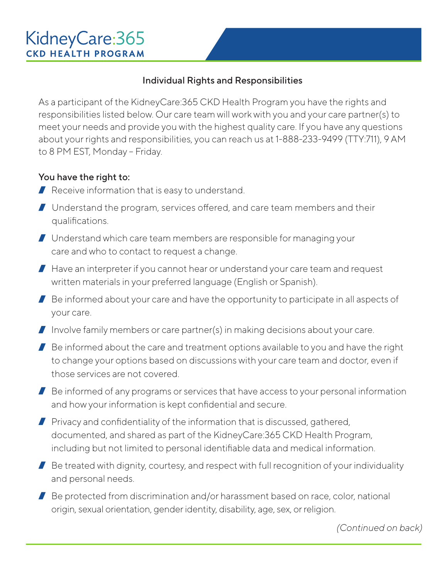# KidneyCare: 365 **CKD HEALTH PROGRAM**

### Individual Rights and Responsibilities

As a participant of the KidneyCare:365 CKD Health Program you have the rights and responsibilities listed below. Our care team will work with you and your care partner(s) to meet your needs and provide you with the highest quality care. If you have any questions about your rights and responsibilities, you can reach us at 1-888-233-9499 (TTY:711), 9 AM to 8 PM EST, Monday – Friday.

#### You have the right to:

- $\blacksquare$  Receive information that is easy to understand.
- Understand the program, services offered, and care team members and their qualifications.
- Understand which care team members are responsible for managing your care and who to contact to request a change.
- $\blacksquare$  Have an interpreter if you cannot hear or understand your care team and request written materials in your preferred language (English or Spanish).
- $\blacksquare$  Be informed about your care and have the opportunity to participate in all aspects of your care.
- I Involve family members or care partner(s) in making decisions about your care.
- $\blacksquare$  Be informed about the care and treatment options available to you and have the right to change your options based on discussions with your care team and doctor, even if those services are not covered.
- $\blacksquare$  Be informed of any programs or services that have access to your personal information and how your information is kept confidential and secure.
- $\blacksquare$  Privacy and confidentiality of the information that is discussed, gathered, documented, and shared as part of the KidneyCare:365 CKD Health Program, including but not limited to personal identifiable data and medical information.
- $\blacksquare$  Be treated with dignity, courtesy, and respect with full recognition of your individuality and personal needs.
- Be protected from discrimination and/or harassment based on race, color, national origin, sexual orientation, gender identity, disability, age, sex, or religion.

*(Continued on back)*